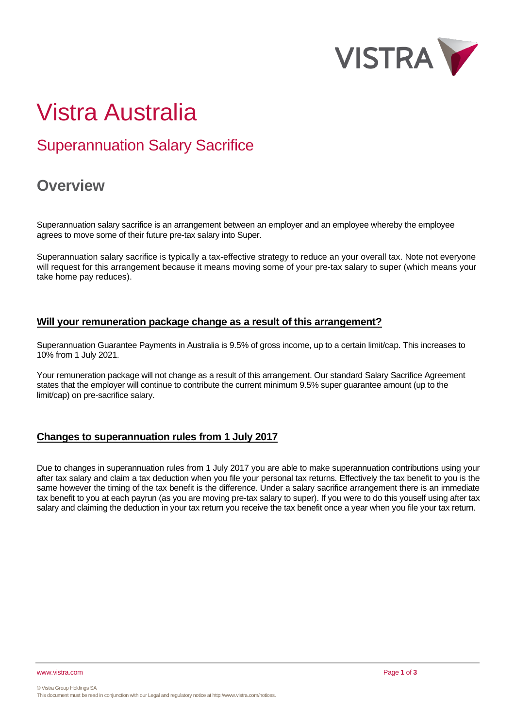

# Vistra Australia

# Superannuation Salary Sacrifice

# **Overview**

Superannuation salary sacrifice is an arrangement between an employer and an employee whereby the employee agrees to move some of their future pre-tax salary into Super.

Superannuation salary sacrifice is typically a tax-effective strategy to reduce an your overall tax. Note not everyone will request for this arrangement because it means moving some of your pre-tax salary to super (which means your take home pay reduces).

### **Will your remuneration package change as a result of this arrangement?**

Superannuation Guarantee Payments in Australia is 9.5% of gross income, up to a certain limit/cap. This increases to 10% from 1 July 2021.

Your remuneration package will not change as a result of this arrangement. Our standard Salary Sacrifice Agreement states that the employer will continue to contribute the current minimum 9.5% super guarantee amount (up to the limit/cap) on pre-sacrifice salary.

## **Changes to superannuation rules from 1 July 2017**

Due to changes in superannuation rules from 1 July 2017 you are able to make superannuation contributions using your after tax salary and claim a tax deduction when you file your personal tax returns. Effectively the tax benefit to you is the same however the timing of the tax benefit is the difference. Under a salary sacrifice arrangement there is an immediate tax benefit to you at each payrun (as you are moving pre-tax salary to super). If you were to do this youself using after tax salary and claiming the deduction in your tax return you receive the tax benefit once a year when you file your tax return.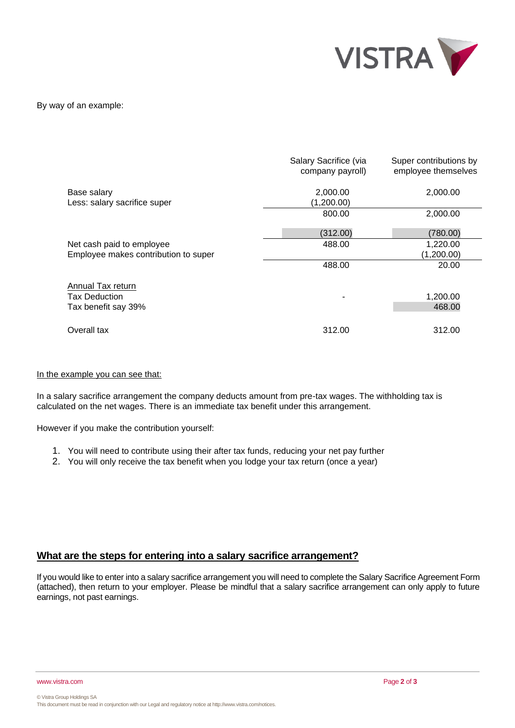

By way of an example:

|                                             | Salary Sacrifice (via<br>company payroll) | Super contributions by<br>employee themselves |
|---------------------------------------------|-------------------------------------------|-----------------------------------------------|
| Base salary<br>Less: salary sacrifice super | 2,000.00<br>(1,200.00)                    | 2,000.00                                      |
|                                             | 800.00                                    | 2,000.00                                      |
|                                             | (312.00)                                  | (780.00)                                      |
| Net cash paid to employee                   | 488.00                                    | 1,220.00                                      |
| Employee makes contribution to super        |                                           | (1,200.00)                                    |
|                                             | 488.00                                    | 20.00                                         |
| Annual Tax return                           |                                           |                                               |
| <b>Tax Deduction</b>                        |                                           | 1,200.00                                      |
| Tax benefit say 39%                         |                                           | 468.00                                        |
| Overall tax                                 | 312.00                                    | 312.00                                        |

#### In the example you can see that:

In a salary sacrifice arrangement the company deducts amount from pre-tax wages. The withholding tax is calculated on the net wages. There is an immediate tax benefit under this arrangement.

However if you make the contribution yourself:

- 1. You will need to contribute using their after tax funds, reducing your net pay further
- 2. You will only receive the tax benefit when you lodge your tax return (once a year)

#### **What are the steps for entering into a salary sacrifice arrangement?**

If you would like to enter into a salary sacrifice arrangement you will need to complete the Salary Sacrifice Agreement Form (attached), then return to your employer. Please be mindful that a salary sacrifice arrangement can only apply to future earnings, not past earnings.